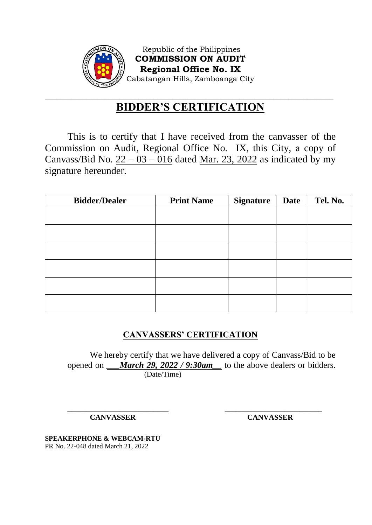

Republic of the Philippines **COMMISSION ON AUDIT Regional Office No. IX** Cabatangan Hills, Zamboanga City

## \_\_\_\_\_\_\_\_\_\_\_\_\_\_\_\_\_\_\_\_\_\_\_\_\_\_\_\_\_\_\_\_\_\_\_\_\_\_\_\_\_\_\_\_\_\_\_\_\_\_\_\_\_\_\_\_\_\_\_\_\_\_\_\_\_\_\_\_\_\_\_\_\_\_\_\_\_ **BIDDER'S CERTIFICATION**

This is to certify that I have received from the canvasser of the Commission on Audit, Regional Office No. IX, this City, a copy of Canvass/Bid No.  $22 - 03 - 016$  dated Mar. 23, 2022 as indicated by my signature hereunder.

| <b>Bidder/Dealer</b> | <b>Print Name</b> | <b>Signature</b> | <b>Date</b> | Tel. No. |
|----------------------|-------------------|------------------|-------------|----------|
|                      |                   |                  |             |          |
|                      |                   |                  |             |          |
|                      |                   |                  |             |          |
|                      |                   |                  |             |          |
|                      |                   |                  |             |          |
|                      |                   |                  |             |          |

## **CANVASSERS' CERTIFICATION**

We hereby certify that we have delivered a copy of Canvass/Bid to be opened on *\_\_\_March 29, 2022 / 9:30am\_\_* to the above dealers or bidders. (Date/Time)

\_\_\_\_\_\_\_\_\_\_\_\_\_\_\_\_\_\_\_\_\_\_\_\_\_\_\_ \_\_\_\_\_\_\_\_\_\_\_\_\_\_\_\_\_\_\_\_\_\_\_\_\_\_

**CANVASSER CANVASSER**

**SPEAKERPHONE & WEBCAM-RTU** PR No. 22-048 dated March 21, 2022